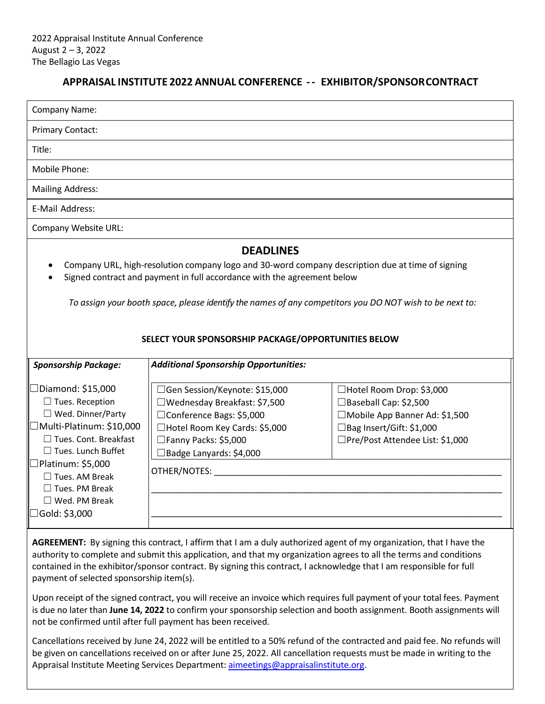## **APPRAISAL INSTITUTE 2022 ANNUAL CONFERENCE - - EXHIBITOR/SPONSOR CONTRACT**

| Company Name:                                                                                                                                                                                                                                                                                                                                 |                                                                                                                                                                                                     |                                                                                                                                                          |  |
|-----------------------------------------------------------------------------------------------------------------------------------------------------------------------------------------------------------------------------------------------------------------------------------------------------------------------------------------------|-----------------------------------------------------------------------------------------------------------------------------------------------------------------------------------------------------|----------------------------------------------------------------------------------------------------------------------------------------------------------|--|
| <b>Primary Contact:</b>                                                                                                                                                                                                                                                                                                                       |                                                                                                                                                                                                     |                                                                                                                                                          |  |
| Title:                                                                                                                                                                                                                                                                                                                                        |                                                                                                                                                                                                     |                                                                                                                                                          |  |
| Mobile Phone:                                                                                                                                                                                                                                                                                                                                 |                                                                                                                                                                                                     |                                                                                                                                                          |  |
| <b>Mailing Address:</b>                                                                                                                                                                                                                                                                                                                       |                                                                                                                                                                                                     |                                                                                                                                                          |  |
| E-Mail Address:                                                                                                                                                                                                                                                                                                                               |                                                                                                                                                                                                     |                                                                                                                                                          |  |
| Company Website URL:                                                                                                                                                                                                                                                                                                                          |                                                                                                                                                                                                     |                                                                                                                                                          |  |
| Company URL, high-resolution company logo and 30-word company description due at time of signing<br>Signed contract and payment in full accordance with the agreement below<br>To assign your booth space, please identify the names of any competitors you DO NOT wish to be next to:<br>SELECT YOUR SPONSORSHIP PACKAGE/OPPORTUNITIES BELOW |                                                                                                                                                                                                     |                                                                                                                                                          |  |
| <b>Sponsorship Package:</b>                                                                                                                                                                                                                                                                                                                   | <b>Additional Sponsorship Opportunities:</b>                                                                                                                                                        |                                                                                                                                                          |  |
| Diamond: \$15,000<br>$\Box$ Tues. Reception<br>□ Wed. Dinner/Party<br>Multi-Platinum: \$10,000<br>□ Tues. Cont. Breakfast<br>□ Tues. Lunch Buffet<br>Platinum: \$5,000<br>$\Box$ Tues. AM Break<br>$\Box$ Tues. PM Break<br>$\Box$ Wed. PM Break<br>Gold: \$3,000                                                                             | □Gen Session/Keynote: \$15,000<br>□Wednesday Breakfast: \$7,500<br>□Conference Bags: \$5,000<br>□Hotel Room Key Cards: \$5,000<br>□Fanny Packs: \$5,000<br>□Badge Lanyards: \$4,000<br>OTHER/NOTES: | □Hotel Room Drop: \$3,000<br>□ Baseball Cap: \$2,500<br>□Mobile App Banner Ad: \$1,500<br>□ Bag Insert/Gift: \$1,000<br>□Pre/Post Attendee List: \$1,000 |  |

**AGREEMENT:** By signing this contract, I affirm that I am a duly authorized agent of my organization, that I have the authority to complete and submit this application, and that my organization agrees to all the terms and conditions contained in the exhibitor/sponsor contract. By signing this contract, I acknowledge that I am responsible for full payment of selected sponsorship item(s).

Upon receipt of the signed contract, you will receive an invoice which requires full payment of your total fees. Payment is due no later than **June 14, 2022** to confirm your sponsorship selection and booth assignment. Booth assignments will not be confirmed until after full payment has been received.

Cancellations received by June 24, 2022 will be entitled to a 50% refund of the contracted and paid fee. No refunds will be given on cancellations received on or after June 25, 2022. All cancellation requests must be made in writing to the Appraisal Institute Meeting Services Department: [aimeetings@appraisalinstitute.org.](mailto:aimeetings@appraisalinstitute.org)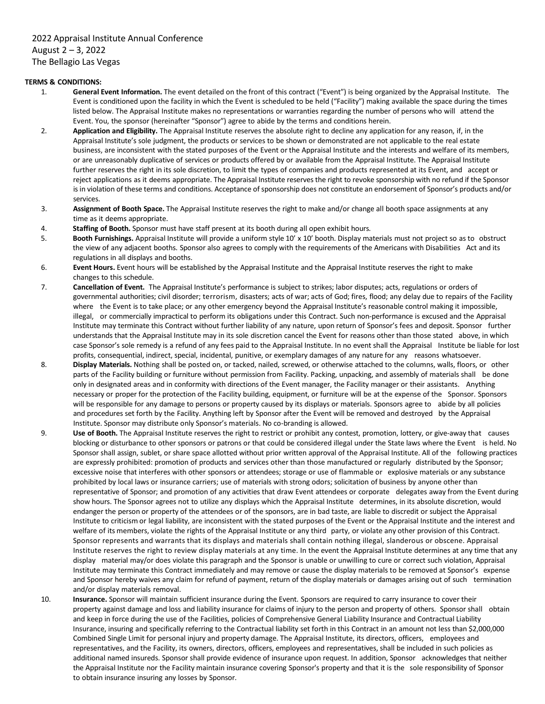## **TERMS & CONDITIONS:**

- 1. **General Event Information.** The event detailed on the front of this contract ("Event") is being organized by the Appraisal Institute. The Event is conditioned upon the facility in which the Event is scheduled to be held ("Facility") making available the space during the times listed below. The Appraisal Institute makes no representations or warranties regarding the number of persons who will attend the Event. You, the sponsor (hereinafter "Sponsor") agree to abide by the terms and conditions herein.
- 2. **Application and Eligibility.** The Appraisal Institute reserves the absolute right to decline any application for any reason, if, in the Appraisal Institute's sole judgment, the products or services to be shown or demonstrated are not applicable to the real estate business, are inconsistent with the stated purposes of the Event or the Appraisal Institute and the interests and welfare of its members, or are unreasonably duplicative of services or products offered by or available from the Appraisal Institute. The Appraisal Institute further reserves the right in its sole discretion, to limit the types of companies and products represented at its Event, and accept or reject applications as it deems appropriate. The Appraisal Institute reserves the right to revoke sponsorship with no refund if the Sponsor is in violation of these terms and conditions. Acceptance of sponsorship does not constitute an endorsement of Sponsor's products and/or services.
- 3. **Assignment of Booth Space.** The Appraisal Institute reserves the right to make and/or change all booth space assignments at any time as it deems appropriate.
- 4. **Staffing of Booth.** Sponsor must have staff present at its booth during all open exhibit hours.
- 5. **Booth Furnishings.** Appraisal Institute will provide a uniform style 10' x 10' booth. Display materials must not project so as to obstruct the view of any adjacent booths. Sponsor also agrees to comply with the requirements of the Americans with Disabilities Act and its regulations in all displays and booths.
- 6. **Event Hours.** Event hours will be established by the Appraisal Institute and the Appraisal Institute reserves the right to make changes to this schedule.
- 7. **Cancellation of Event.** The Appraisal Institute's performance is subject to strikes; labor disputes; acts, regulations or orders of governmental authorities; civil disorder; terrorism, disasters; acts of war; acts of God; fires, flood; any delay due to repairs of the Facility where the Event is to take place; or any other emergency beyond the Appraisal Institute's reasonable control making it impossible, illegal, or commercially impractical to perform its obligations under this Contract. Such non-performance is excused and the Appraisal Institute may terminate this Contract without further liability of any nature, upon return of Sponsor's fees and deposit. Sponsor further understands that the Appraisal Institute may in its sole discretion cancel the Event for reasons other than those stated above, in which case Sponsor's sole remedy is a refund of any fees paid to the Appraisal Institute. In no event shall the Appraisal Institute be liable for lost profits, consequential, indirect, special, incidental, punitive, or exemplary damages of any nature for any reasons whatsoever.
- 8. **Display Materials.** Nothing shall be posted on, or tacked, nailed, screwed, or otherwise attached to the columns, walls, floors, or other parts of the Facility building or furniture without permission from Facility. Packing, unpacking, and assembly of materials shall be done only in designated areas and in conformity with directions of the Event manager, the Facility manager or their assistants. Anything necessary or proper for the protection of the Facility building, equipment, or furniture will be at the expense of the Sponsor. Sponsors will be responsible for any damage to persons or property caused by its displays or materials. Sponsors agree to abide by all policies and procedures set forth by the Facility. Anything left by Sponsor after the Event will be removed and destroyed by the Appraisal Institute. Sponsor may distribute only Sponsor's materials. No co-branding is allowed.
- 9. **Use of Booth.** The Appraisal Institute reserves the right to restrict or prohibit any contest, promotion, lottery, or give-away that causes blocking or disturbance to other sponsors or patrons or that could be considered illegal under the State laws where the Event is held. No Sponsor shall assign, sublet, or share space allotted without prior written approval of the Appraisal Institute. All of the following practices are expressly prohibited: promotion of products and services other than those manufactured or regularly distributed by the Sponsor; excessive noise that interferes with other sponsors or attendees; storage or use of flammable or explosive materials or any substance prohibited by local laws or insurance carriers; use of materials with strong odors; solicitation of business by anyone other than representative of Sponsor; and promotion of any activities that draw Event attendees or corporate delegates away from the Event during show hours. The Sponsor agrees not to utilize any displays which the Appraisal Institute determines, in its absolute discretion, would endanger the person or property of the attendees or of the sponsors, are in bad taste, are liable to discredit or subject the Appraisal Institute to criticism or legal liability, are inconsistent with the stated purposes of the Event or the Appraisal Institute and the interest and welfare of its members, violate the rights of the Appraisal Institute or any third party, or violate any other provision of this Contract. Sponsor represents and warrants that its displays and materials shall contain nothing illegal, slanderous or obscene. Appraisal Institute reserves the right to review display materials at any time. In the event the Appraisal Institute determines at any time that any display material may/or does violate this paragraph and the Sponsor is unable or unwilling to cure or correct such violation, Appraisal Institute may terminate this Contract immediately and may remove or cause the display materials to be removed at Sponsor's expense and Sponsor hereby waives any claim for refund of payment, return of the display materials or damages arising out of such termination and/or display materials removal.
- 10. **Insurance.** Sponsor will maintain sufficient insurance during the Event. Sponsors are required to carry insurance to cover their property against damage and loss and liability insurance for claims of injury to the person and property of others. Sponsor shall obtain and keep in force during the use of the Facilities, policies of Comprehensive General Liability Insurance and Contractual Liability Insurance, insuring and specifically referring to the Contractual liability set forth in this Contract in an amount not less than \$2,000,000 Combined Single Limit for personal injury and property damage. The Appraisal Institute, its directors, officers, employees and representatives, and the Facility, its owners, directors, officers, employees and representatives, shall be included in such policies as additional named insureds. Sponsor shall provide evidence of insurance upon request. In addition, Sponsor acknowledges that neither the Appraisal Institute nor the Facility maintain insurance covering Sponsor's property and that it is the sole responsibility of Sponsor to obtain insurance insuring any losses by Sponsor.